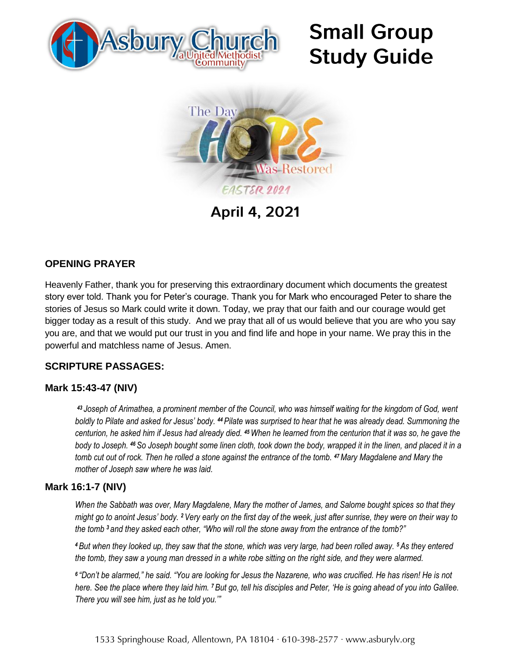

# **Small Group Study Guide**



**April 4, 2021** 

## **OPENING PRAYER**

Heavenly Father, thank you for preserving this extraordinary document which documents the greatest story ever told. Thank you for Peter's courage. Thank you for Mark who encouraged Peter to share the stories of Jesus so Mark could write it down. Today, we pray that our faith and our courage would get bigger today as a result of this study. And we pray that all of us would believe that you are who you say you are, and that we would put our trust in you and find life and hope in your name. We pray this in the powerful and matchless name of Jesus. Amen.

## **SCRIPTURE PASSAGES:**

#### **Mark 15:43-47 (NIV)**

*<sup>43</sup> Joseph of Arimathea, a prominent member of the Council, who was himself waiting for the kingdom of God, went boldly to Pilate and asked for Jesus' body. <sup>44</sup>Pilate was surprised to hear that he was already dead. Summoning the centurion, he asked him if Jesus had already died. <sup>45</sup>When he learned from the centurion that it was so, he gave the body to Joseph. <sup>46</sup>So Joseph bought some linen cloth, took down the body, wrapped it in the linen, and placed it in a tomb cut out of rock. Then he rolled a stone against the entrance of the tomb. <sup>47</sup>Mary Magdalene and Mary the mother of Joseph saw where he was laid.*

#### **Mark 16:1-7 (NIV)**

*When the Sabbath was over, Mary Magdalene, Mary the mother of James, and Salome bought spices so that they might go to anoint Jesus' body. <sup>2</sup>Very early on the first day of the week, just after sunrise, they were on their way to the tomb <sup>3</sup> and they asked each other, "Who will roll the stone away from the entrance of the tomb?"*

*<sup>4</sup>But when they looked up, they saw that the stone, which was very large, had been rolled away. <sup>5</sup>As they entered the tomb, they saw a young man dressed in a white robe sitting on the right side, and they were alarmed.*

*6 "Don't be alarmed," he said. "You are looking for Jesus the Nazarene, who was crucified. He has risen! He is not here. See the place where they laid him. <sup>7</sup>But go, tell his disciples and Peter, 'He is going ahead of you into Galilee. There you will see him, just as he told you.'"*